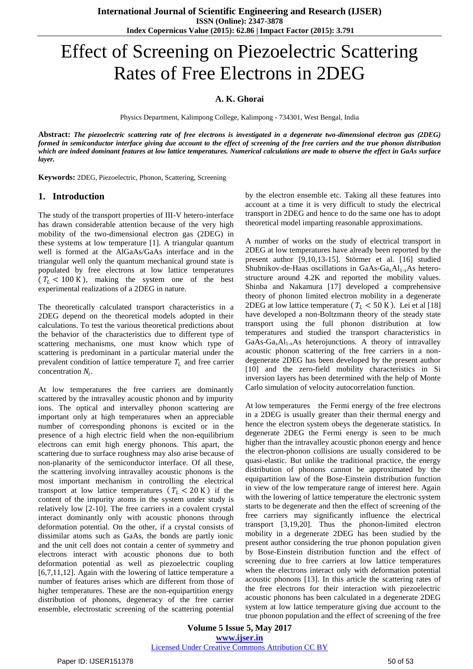# Effect of Screening on Piezoelectric Scattering Rates of Free Electrons in 2DEG

## **A. K. Ghorai**

Physics Department, Kalimpong College, Kalimpong - 734301, West Bengal, India

**Abstract:** *The piezoelectric scattering rate of free electrons is investigated in a degenerate two-dimensional electron gas (2DEG) formed in semiconductor interface giving due account to the effect of screening of the free carriers and the true phonon distribution which are indeed dominant features at low lattice temperatures. Numerical calculations are made to observe the effect in GaAs surface layer.*

**Keywords:** 2DEG, Piezoelectric, Phonon, Scattering, Screening

### **1. Introduction**

The study of the transport properties of III-V hetero-interface has drawn considerable attention because of the very high mobility of the two-dimensional electron gas (2DEG) in these systems at low temperature [1]. A triangular quantum well is formed at the AlGaAs/GaAs interface and in the triangular well only the quantum mechanical ground state is populated by free electrons at low lattice temperatures  $(T_L < 100 \text{ K})$ , making the system one of the best experimental realizations of a 2DEG in nature.

The theoretically calculated transport characteristics in a 2DEG depend on the theoretical models adopted in their calculations. To test the various theoretical predictions about the behavior of the characteristics due to different type of scattering mechanisms, one must know which type of scattering is predominant in a particular material under the prevalent condition of lattice temperature  $T_L$  and free carrier concentration  $N_i$ .

At low temperatures the free carriers are dominantly scattered by the intravalley acoustic phonon and by impurity ions. The optical and intervalley phonon scattering are important only at high temperatures when an appreciable number of corresponding phonons is excited or in the presence of a high electric field when the non-equilibrium electrons can emit high energy phonons. This apart, the scattering due to surface roughness may also arise because of non-planarity of the semiconductor interface. Of all these, the scattering involving intravalley acoustic phonons is the most important mechanism in controlling the electrical transport at low lattice temperatures  $(T_L < 20 \text{ K})$  if the content of the impurity atoms in the system under study is relatively low [2-10]. The free carriers in a covalent crystal interact dominantly only with acoustic phonons through deformation potential. On the other, if a crystal consists of dissimilar atoms such as GaAs, the bonds are partly ionic and the unit cell does not contain a center of symmetry and electrons interact with acoustic phonons due to both deformation potential as well as piezoelectric coupling [6,7,11,12]. Again with the lowering of lattice temperature a number of features arises which are different from those of higher temperatures. These are the non-equipartition energy distribution of phonons, degeneracy of the free carrier ensemble, electrostatic screening of the scattering potential by the electron ensemble etc. Taking all these features into account at a time it is very difficult to study the electrical transport in 2DEG and hence to do the same one has to adopt theoretical model imparting reasonable approximations.

A number of works on the study of electrical transport in 2DEG at low temperatures have already been reported by the present author [9,10,13-15]. Störmer et al. [16] studied Shubnikov-de-Haas oscillations in GaAs-Ga<sub>x</sub>Al<sub>1-x</sub>As heterostructure around 4.2K and reported the mobility values. Shinba and Nakamura [17] developed a comprehensive theory of phonon limited electron mobility in a degenerate 2DEG at low lattice temperature ( $T_L < 50$  K). Lei et al [18] have developed a non-Boltzmann theory of the steady state transport using the full phonon distribution at low temperatures and studied the transport characteristics in GaAs-Ga<sub>x</sub>Al<sub>1-x</sub>As heterojunctions. A theory of intravalley acoustic phonon scattering of the free carriers in a nondegenerate 2DEG has been developed by the present author [10] and the zero-field mobility characteristics in Si inversion layers has been determined with the help of Monte Carlo simulation of velocity autocorrelation function.

At low temperatures the Fermi energy of the free electrons in a 2DEG is usually greater than their thermal energy and hence the electron system obeys the degenerate statistics. In degenerate 2DEG the Fermi energy is seen to be much higher than the intravalley acoustic phonon energy and hence the electron-phonon collisions are usually considered to be quasi-elastic. But unlike the traditional practice, the energy distribution of phonons cannot be approximated by the equipartition law of the Bose-Einstein distribution function in view of the low temperature range of interest here. Again with the lowering of lattice temperature the electronic system starts to be degenerate and then the effect of screening of the free carriers may significantly influence the electrical transport [3,19,20]. Thus the phonon-limited electron mobility in a degenerate 2DEG has been studied by the present author considering the true phonon population given by Bose-Einstein distribution function and the effect of screening due to free carriers at low lattice temperatures when the electrons interact only with deformation potential acoustic phonons [13]. In this article the scattering rates of the free electrons for their interaction with piezoelectric acoustic phonons has been calculated in a degenerate 2DEG system at low lattice temperature giving due account to the true phonon population and the effect of screening of the free

**Volume 5 Issue 5, May 2017 www.ijser.in** Licensed Under Creative Commons Attribution CC BY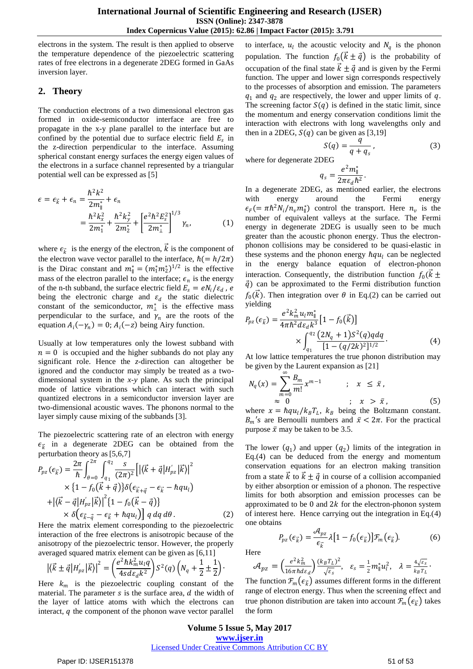electrons in the system. The result is then applied to observe the temperature dependence of the piezoelectric scattering rates of free electrons in a degenerate 2DEG formed in GaAs inversion layer.

# **2. Theory**

The conduction electrons of a two dimensional electron gas formed in oxide-semiconductor interface are free to propagate in the x-y plane parallel to the interface but are confined by the potential due to surface electric field  $E_s$  in the z-direction perpendicular to the interface. Assuming spherical constant energy surfaces the energy eigen values of the electrons in a surface channel represented by a triangular potential well can be expressed as [5]

$$
\epsilon = \epsilon_{\vec{k}} + \epsilon_n = \frac{\hbar^2 k^2}{2m_{\parallel}^*} + \epsilon_n
$$
  
= 
$$
\frac{\hbar^2 k_x^2}{2m_1^*} + \frac{\hbar^2 k_y^2}{2m_2^*} + \left[\frac{e^2 \hbar^2 E_s^2}{2m_{\perp}^*}\right]^{1/3} \gamma_n,
$$
 (1)

where  $\epsilon_{\vec{k}}$  is the energy of the electron,  $\vec{k}$  is the component of the electron wave vector parallel to the interface,  $\hbar (= h/2\pi)$ is the Dirac constant and  $m_{\parallel}^* = (m_1^* m_2^*)^{1/2}$  is the effective mass of the electron parallel to the interface;  $\epsilon_n$  is the energy of the n-th subband, the surface electric field  $E_s = e N_i / \varepsilon_d$ , e being the electronic charge and  $\varepsilon_d$  the static dielectric constant of the semiconductor,  $m^*$  is the effective mass perpendicular to the surface, and  $\gamma_n$  are the roots of the equation  $A_i(-\gamma_n) = 0$ ;  $A_i(-z)$  being Airy function.

Usually at low temperatures only the lowest subband with  $n = 0$  is occupied and the higher subbands do not play any significant role. Hence the *z-*direction can altogether be ignored and the conductor may simply be treated as a twodimensional system in the *x-y* plane. As such the principal mode of lattice vibrations which can interact with such quantized electrons in a semiconductor inversion layer are two-dimensional acoustic waves. The phonons normal to the layer simply cause mixing of the subbands [3].

The piezoelectric scattering rate of an electron with energy  $\epsilon_{\vec{k}}$  in a degenerate 2DEG can be obtained from the perturbation theory as[5,6,7]

$$
P_{pz}(\epsilon_{\vec{k}}) = \frac{2\pi}{\hbar} \int_{\theta=0}^{2\pi} \int_{q_1}^{q_2} \frac{s}{(2\pi)^2} \Big[ \Big| \langle \vec{k} + \vec{q} | H'_{pz} | \vec{k} \rangle \Big|^2 \times \Big\{ 1 - f_0(\vec{k} + \vec{q}) \Big\} \delta(\epsilon_{\vec{k} + \vec{q}} - \epsilon_{\vec{k}} - \hbar q u_l) + \Big| \langle \vec{k} - \vec{q} | H'_{pz} | \vec{k} \rangle \Big|^2 \Big\{ 1 - f_0(\vec{k} - \vec{q}) \Big\} \times \delta(\epsilon_{\vec{k} - \vec{q}} - \epsilon_{\vec{k}} + \hbar q u_l) \Big] q dq d\theta.
$$
 (2)

Here the matrix element corresponding to the piezoelectric interaction of the free electrons is anisotropic because of the anisotropy of the piezoelectric tensor. However, the properly averaged squared matrix element can be given as [6,11]

$$
\left| \langle \vec{k} \pm \vec{q} | H'_{pz} | \vec{k} \rangle \right|^2 = \left( \frac{e^2 \hbar k_m^2 u_l q}{4 s d \varepsilon_d k^2} \right) S^2(q) \left( N_q + \frac{1}{2} \pm \frac{1}{2} \right).
$$

Here  $k_m$  is the piezoelectric coupling constant of the material. The parameter  $s$  is the surface area,  $d$  the width of the layer of lattice atoms with which the electrons can interact,  $q$  the component of the phonon wave vector parallel

to interface,  $u_l$  the acoustic velocity and  $N_q$  is the phonon population. The function  $f_0 (k \pm \vec{q})$  is the probability of occupation of the final state  $\vec{k} \pm \vec{q}$  and is given by the Fermi function. The upper and lower sign corresponds respectively to the processes of absorption and emission. The parameters  $q_1$  and  $q_2$  are respectively, the lower and upper limits of  $q$ . The screening factor  $S(q)$  is defined in the static limit, since the momentum and energy conservation conditions limit the interaction with electrons with long wavelengths only and then in a 2DEG,  $S(q)$  can be given as [3,19]

$$
S(q) = \frac{q}{q + q_s},\tag{3}
$$

where for degenerate 2DEG

$$
q_s = \frac{e^2 m_{\parallel}^*}{2\pi\varepsilon_d \hbar^2}.
$$

In a degenerate 2DEG, as mentioned earlier, the electrons with energy around the Fermi energy  $\epsilon_F$  (=  $\pi \hbar^2 N_i / n_v m_{\parallel}^*$ ) control the transport. Here  $n_v$  is the number of equivalent valleys at the surface. The Fermi energy in degenerate 2DEG is usually seen to be much greater than the acoustic phonon energy. Thus the electronphonon collisions may be considered to be quasi-elastic in these systems and the phonon energy  $\hbar q u_l$  can be neglected in the energy balance equation of electron-phonon interaction. Consequently, the distribution function  $f_0(k+1)$  $\vec{q}$ ) can be approximated to the Fermi distribution function  $f_0(\vec{k})$ . Then integration over  $\theta$  in Eq.(2) can be carried out yielding

$$
P_{pz}(\epsilon_{\vec{k}}) = \frac{e^2 k_m^2 u_l m_{\parallel}^*}{4\pi \hbar^2 d \epsilon_d k^3} [1 - f_0(\vec{k})] \times \int_{q_1}^{q_2} \frac{(2N_q + 1)S^2(q)q dq}{[1 - (q/2k)^2]^{1/2}}.
$$
 (4)

At low lattice temperatures the true phonon distribution may be given by the Laurent expansion as [21]

$$
N_q(x) = \sum_{m=0}^{\infty} \frac{B_m}{m!} x^{m-1} \qquad ; \quad x \leq \bar{x},
$$
  

$$
\approx 0 \qquad ; \quad x > \bar{x}, \qquad (5)
$$

where  $x = \hbar q u_l / k_B T_L$ ,  $k_B$  being the Boltzmann constant.  $B_m$ 's are Bernoulli numbers and  $\bar{x} < 2\pi$ . For the practical purpose  $\bar{x}$  may be taken to be 3.5.

The lower  $(q_1)$  and upper  $(q_2)$  limits of the integration in Eq.(4) can be deduced from the energy and momentum conservation equations for an electron making transition from a state k to  $k \pm \vec{q}$  in course of a collision accompanied by either absorption or emission of a phonon. The respective limits for both absorption and emission processes can be approximated to be 0 and  $2k$  for the electron-phonon system of interest here. Hence carrying out the integration in Eq.(4) one obtains

$$
P_{pz}(\epsilon_{\vec{k}}) = \frac{\mathcal{A}_{pz}}{\epsilon_{\vec{k}}} \lambda [1 - f_0(\epsilon_{\vec{k}})] \mathcal{F}_m(\epsilon_{\vec{k}}).
$$
 (6)

Here

$$
\mathcal{A}_{pz} = \left(\frac{e^2 k_m^2}{16\pi \hbar d \varepsilon_d}\right) \frac{(k_B T_L)^2}{\sqrt{\varepsilon_s}}, \quad \varepsilon_s = \frac{1}{2} m_{\parallel}^* u_l^2, \quad \lambda = \frac{4\sqrt{\varepsilon_s}}{k_B T_L}.
$$

The function  $\mathcal{F}_m(\epsilon_{\vec{k}})$  assumes different forms in the different range of electron energy. Thus when the screening effect and true phonon distribution are taken into account  $\mathcal{F}_m(\epsilon_{\vec{k}})$  takes the form

#### **Volume 5 Issue 5, May 2017 www.ijser.in** Licensed Under Creative Commons Attribution CC BY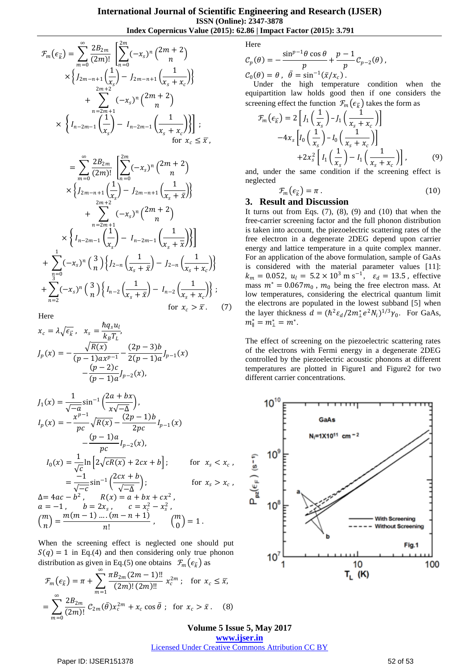$$
\mathcal{F}_{m}(\epsilon_{\vec{k}}) = \sum_{m=0}^{\infty} \frac{2B_{2m}}{(2m)!} \left[ \sum_{n=0}^{2m} (-x_{s})^{n} {2m+2 \choose n} \times \left\{ J_{2m-n+1} \left( \frac{1}{x_{s}} \right) - J_{2m-n+1} \left( \frac{1}{x_{s} + x_{c}} \right) \right\} + \sum_{n=2m+2}^{2m+2} (-x_{s})^{n} {2m+2 \choose n} \times \left\{ I_{n-2m-1} \left( \frac{1}{x_{s}} \right) - I_{n-2m-1} \left( \frac{1}{x_{s} + x_{c}} \right) \right\} ;
$$
\n
$$
= \sum_{m=0}^{\infty} \frac{2B_{2m}}{(2m)!} \left[ \sum_{n=0}^{2m} (-x_{s})^{n} {2m+2 \choose n} \times \left\{ J_{2m-n+1} \left( \frac{1}{x_{s}} \right) - J_{2m-n+1} \left( \frac{1}{x_{s} + x} \right) \right\} + \sum_{n=2m+2}^{2m+2} (-x_{s})^{n} {2m+2 \choose n} \times \left\{ I_{n-2m-1} \left( \frac{1}{x_{s}} \right) - I_{n-2m-1} \left( \frac{1}{x_{s} + x} \right) \right\}
$$
\n
$$
+ \sum_{n=0}^{1} (-x_{s})^{n} {3 \choose n} \left\{ J_{2-n} \left( \frac{1}{x_{s} + x} \right) - J_{2-n} \left( \frac{1}{x_{s} + x_{c}} \right) \right\}
$$
\n
$$
+ \sum_{n=0}^{3} (-x_{s})^{n} {3 \choose n} \left\{ I_{n-2} \left( \frac{1}{x_{s} + x} \right) - I_{n-2} \left( \frac{1}{x_{s} + x_{c}} \right) \right\} ;
$$

 $\frac{1}{x_s + x_c}$ 

for  $x_c > \overline{x}$ . (7)

;

Here

 $n=2$ 

$$
x_c = \lambda \sqrt{\epsilon_{\vec{k}}}, \quad x_s = \frac{\hbar q_s u_l}{k_B T_L},
$$
  
\n
$$
J_p(x) = -\frac{\sqrt{R(x)}}{(p-1)ax^{p-1}} - \frac{(2p-3)b}{2(p-1)a} J_{p-1}(x) - \frac{(p-2)c}{(p-1)a} J_{p-2}(x),
$$

$$
J_1(x) = \frac{1}{\sqrt{-a}} \sin^{-1} \left( \frac{2a + bx}{x\sqrt{-\Delta}} \right),
$$
  
\n
$$
I_p(x) = -\frac{x^{p-1}}{pc} \sqrt{R(x)} - \frac{(2p-1)b}{2pc} I_{p-1}(x)
$$
  
\n
$$
- \frac{(p-1)a}{pc} I_{p-2}(x),
$$
  
\n
$$
I_0(x) = \frac{1}{\sqrt{c}} \ln \left[ 2\sqrt{cR(x)} + 2cx + b \right];
$$
 for  $x_s < x_c$ ,  
\n
$$
= \frac{-1}{\sqrt{-c}} \sin^{-1} \left( \frac{2cx + b}{\sqrt{-\Delta}} \right);
$$
 for  $x_s > x_c$ ,  
\n
$$
\Delta = 4ac - b^2, \quad R(x) = a + bx + cx^2,
$$
  
\n $a = -1, \quad b = 2x_s, \quad c = x_c^2 - x_s^2,$   
\n
$$
{m \choose n} = \frac{m(m-1) \dots (m-n+1)}{n!}, \quad {m \choose 0} = 1.
$$

When the screening effect is neglected one should put  $S(q) = 1$  in Eq.(4) and then considering only true phonon distribution as given in Eq.(5) one obtains  $\mathcal{F}_m(\epsilon_{\vec{k}})$  as ∞

$$
\mathcal{F}_m(\epsilon_{\vec{k}}) = \pi + \sum_{m=1}^{\infty} \frac{\pi B_{2m} (2m-1)!!}{(2m)!(2m)!!} x_c^{2m} ; \text{ for } x_c \le \bar{x},
$$

$$
= \sum_{m=0}^{\infty} \frac{2B_{2m}}{(2m)!} \mathcal{C}_{2m}(\bar{\theta}) x_c^{2m} + x_c \cos \bar{\theta} ; \text{ for } x_c > \bar{x}. \quad (8)
$$

Here

$$
C_p(\theta) = -\frac{\sin^{p-1}\theta \cos \theta}{p} + \frac{p-1}{p}C_{p-2}(\theta),
$$
  

$$
C_0(\theta) = \theta, \quad \bar{\theta} = \sin^{-1}(\bar{x}/x_c).
$$

Under the high temperature condition when the equipartition law holds good then if one considers the screening effect the function  $\mathcal{F}_m(\epsilon_{\vec{k}})$  takes the form as

$$
\mathcal{F}_m(\epsilon_{\vec{k}}) = 2 \left[ J_1\left(\frac{1}{x_s}\right) - J_1\left(\frac{1}{x_s + x_c}\right) \right] \n-4x_s \left[ I_0\left(\frac{1}{x_s}\right) - I_0\left(\frac{1}{x_s + x_c}\right) \right] \n+2x_s^2 \left[ I_1\left(\frac{1}{x_s}\right) - I_1\left(\frac{1}{x_s + x_c}\right) \right],
$$
\n(9)

and, under the same condition if the screening effect is neglected

$$
\mathcal{F}_m(\epsilon_{\vec{k}}) = \pi \,. \tag{10}
$$

## **3. Result and Discussion**

It turns out from Eqs.  $(7)$ ,  $(8)$ ,  $(9)$  and  $(10)$  that when the free-carrier screening factor and the full phonon distribution is taken into account, the piezoelectric scattering rates of the free electron in a degenerate 2DEG depend upon carrier energy and lattice temperature in a quite complex manner. For an application of the above formulation, sample of GaAs is considered with the material parameter values [11]:  $k_m = 0.052$ ,  $u_l = 5.2 \times 10^3$  m s<sup>-1</sup>,  $\varepsilon_d = 13.5$ , effective mass  $m^* = 0.067m_0$ ,  $m_0$  being the free electron mass. At low temperatures, considering the electrical quantum limit the electrons are populated in the lowest subband [5] when the layer thickness  $d = (\hbar^2 \varepsilon_d / 2m_{\perp}^* e^2 N_i)^{1/3} \gamma_0$ . For GaAs,  $m^*_{\parallel} = m^*_{\perp} = m^*$ .

The effect of screening on the piezoelectric scattering rates of the electrons with Fermi energy in a degenerate 2DEG controlled by the piezoelectric acoustic phonons at different temperatures are plotted in Figure1 and Figure2 for two different carrier concentrations.



**Volume 5 Issue 5, May 2017 www.ijser.in** Licensed Under Creative Commons Attribution CC BY